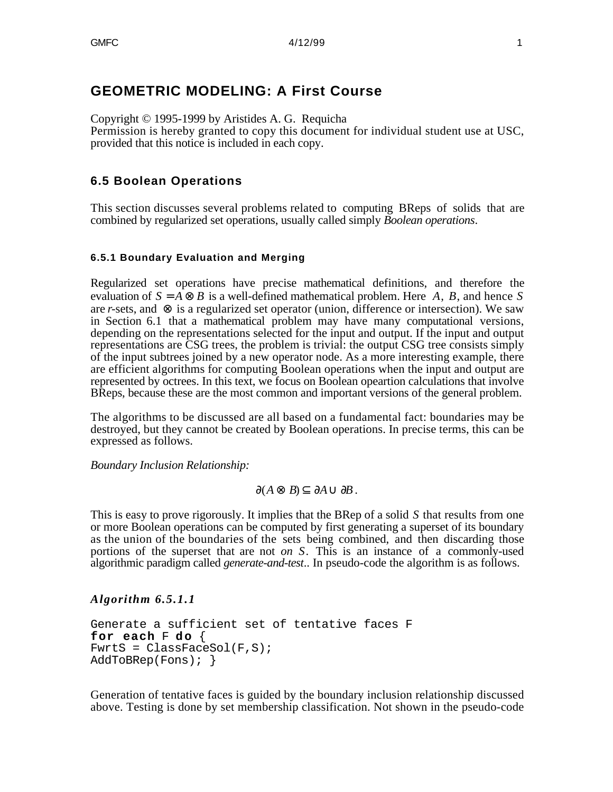# **GEOMETRIC MODELING: A First Course**

Copyright © 1995-1999 by Aristides A. G. Requicha

Permission is hereby granted to copy this document for individual student use at USC, provided that this notice is included in each copy.

# **6.5 Boolean Operations**

This section discusses several problems related to computing BReps of solids that are combined by regularized set operations, usually called simply *Boolean operations*.

### **6.5.1 Boundary Evaluation and Merging**

Regularized set operations have precise mathematical definitions, and therefore the evaluation of *S* = *A B* is a well-defined mathematical problem. Here *A*, *B*, and hence *S* are *r*-sets, and is a regularized set operator (union, difference or intersection). We saw in Section 6.1 that a mathematical problem may have many computational versions, depending on the representations selected for the input and output. If the input and output representations are CSG trees, the problem is trivial: the output CSG tree consists simply of the input subtrees joined by a new operator node. As a more interesting example, there are efficient algorithms for computing Boolean operations when the input and output are represented by octrees. In this text, we focus on Boolean opeartion calculations that involve BReps, because these are the most common and important versions of the general problem.

The algorithms to be discussed are all based on a fundamental fact: boundaries may be destroyed, but they cannot be created by Boolean operations. In precise terms, this can be expressed as follows.

*Boundary Inclusion Relationship:*

(*A B*) *A B* .

This is easy to prove rigorously. It implies that the BRep of a solid *S* that results from one or more Boolean operations can be computed by first generating a superset of its boundary as the union of the boundaries of the sets being combined, and then discarding those portions of the superset that are not *on S*. This is an instance of a commonly-used algorithmic paradigm called *generate-and-test*.. In pseudo-code the algorithm is as follows.

### *Algorithm 6.5.1.1*

```
Generate a sufficient set of tentative faces F
for each F do {
FwrLS = ClassFacesol(F,S);AddToBRep(Fons); }
```
Generation of tentative faces is guided by the boundary inclusion relationship discussed above. Testing is done by set membership classification. Not shown in the pseudo-code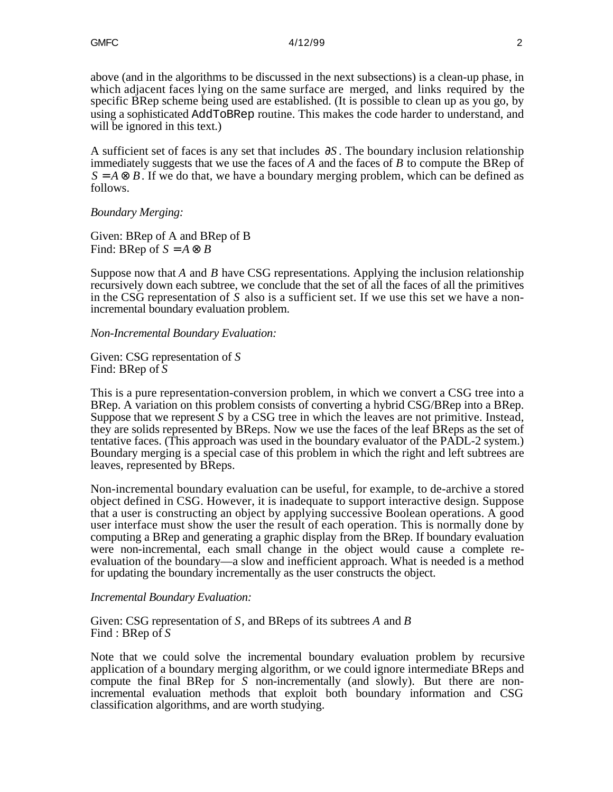above (and in the algorithms to be discussed in the next subsections) is a clean-up phase, in which adjacent faces lying on the same surface are merged, and links required by the specific BRep scheme being used are established. (It is possible to clean up as you go, by using a sophisticated AddToBRep routine. This makes the code harder to understand, and will be ignored in this text.)

A sufficient set of faces is any set that includes *S* . The boundary inclusion relationship immediately suggests that we use the faces of *A* and the faces of *B* to compute the BRep of  $S = A$  *B*. If we do that, we have a boundary merging problem, which can be defined as follows.

*Boundary Merging:*

Given: BRep of A and BRep of B Find: BRep of  $S = A$  *B* 

Suppose now that *A* and *B* have CSG representations. Applying the inclusion relationship recursively down each subtree, we conclude that the set of all the faces of all the primitives in the CSG representation of *S* also is a sufficient set. If we use this set we have a nonincremental boundary evaluation problem.

*Non-Incremental Boundary Evaluation:*

Given: CSG representation of *S* Find: BRep of *S*

This is a pure representation-conversion problem, in which we convert a CSG tree into a BRep. A variation on this problem consists of converting a hybrid CSG/BRep into a BRep. Suppose that we represent *S* by a CSG tree in which the leaves are not primitive. Instead, they are solids represented by BReps. Now we use the faces of the leaf BReps as the set of tentative faces. (This approach was used in the boundary evaluator of the PADL-2 system.) Boundary merging is a special case of this problem in which the right and left subtrees are leaves, represented by BReps.

Non-incremental boundary evaluation can be useful, for example, to de-archive a stored object defined in CSG. However, it is inadequate to support interactive design. Suppose that a user is constructing an object by applying successive Boolean operations. A good user interface must show the user the result of each operation. This is normally done by computing a BRep and generating a graphic display from the BRep. If boundary evaluation were non-incremental, each small change in the object would cause a complete reevaluation of the boundary—a slow and inefficient approach. What is needed is a method for updating the boundary incrementally as the user constructs the object.

### *Incremental Boundary Evaluation:*

Given: CSG representation of *S*, and BReps of its subtrees *A* and *B* Find : BRep of *S*

Note that we could solve the incremental boundary evaluation problem by recursive application of a boundary merging algorithm, or we could ignore intermediate BReps and compute the final BRep for *S* non-incrementally (and slowly). But there are nonincremental evaluation methods that exploit both boundary information and CSG classification algorithms, and are worth studying.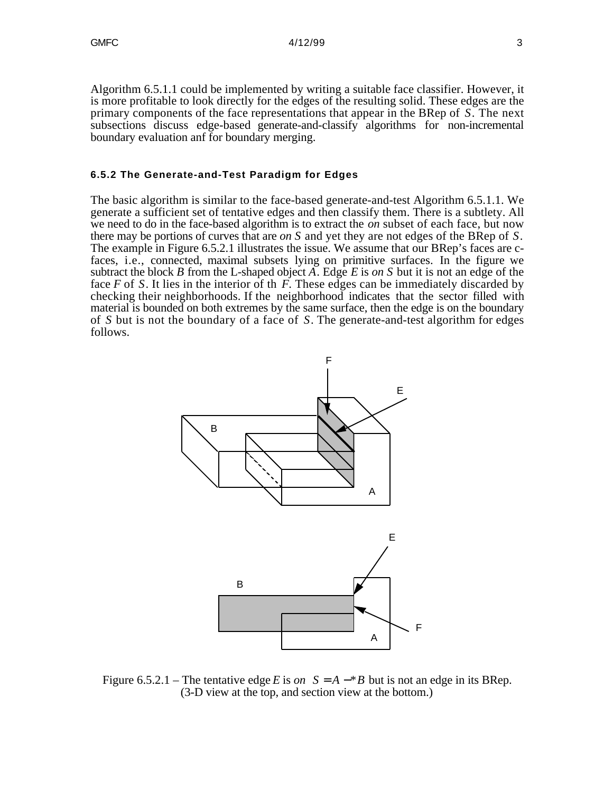Algorithm 6.5.1.1 could be implemented by writing a suitable face classifier. However, it is more profitable to look directly for the edges of the resulting solid. These edges are the primary components of the face representations that appear in the BRep of *S*. The next subsections discuss edge-based generate-and-classify algorithms for non-incremental boundary evaluation anf for boundary merging.

#### **6.5.2 The Generate-and-Test Paradigm for Edges**

The basic algorithm is similar to the face-based generate-and-test Algorithm 6.5.1.1. We generate a sufficient set of tentative edges and then classify them. There is a subtlety. All we need to do in the face-based algorithm is to extract the *on* subset of each face, but now there may be portions of curves that are *on S* and yet they are not edges of the BRep of *S*. The example in Figure 6.5.2.1 illustrates the issue. We assume that our BRep's faces are cfaces, i.e., connected, maximal subsets lying on primitive surfaces. In the figure we subtract the block *B* from the L-shaped object *A*. Edge *E* is *on S* but it is not an edge of the face *F* of *S*. It lies in the interior of th *F*. These edges can be immediately discarded by checking their neighborhoods. If the neighborhood indicates that the sector filled with material is bounded on both extremes by the same surface, then the edge is on the boundary of *S* but is not the boundary of a face of *S*. The generate-and-test algorithm for edges follows.



Figure 6.5.2.1 – The tentative edge *E* is *on*  $S = A - B$  but is not an edge in its BRep. (3-D view at the top, and section view at the bottom.)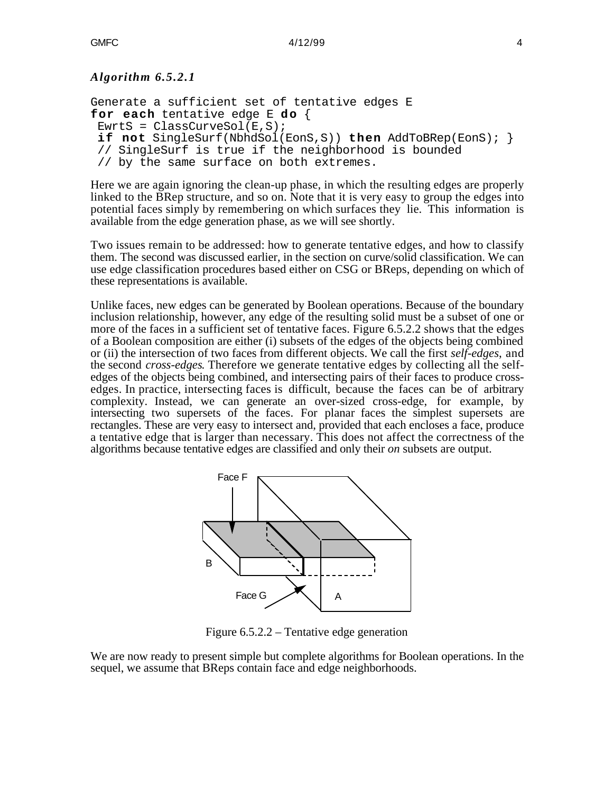# *Algorithm 6.5.2.1*

```
Generate a sufficient set of tentative edges E
for each tentative edge E do {
EwrtS = ClassCurvesol(E,S);if not SingleSurf(NbhdSol(EonS,S)) then AddToBRep(EonS); }
  // SingleSurf is true if the neighborhood is bounded
  // by the same surface on both extremes.
```
Here we are again ignoring the clean-up phase, in which the resulting edges are properly linked to the BRep structure, and so on. Note that it is very easy to group the edges into potential faces simply by remembering on which surfaces they lie. This information is available from the edge generation phase, as we will see shortly.

Two issues remain to be addressed: how to generate tentative edges, and how to classify them. The second was discussed earlier, in the section on curve/solid classification. We can use edge classification procedures based either on CSG or BReps, depending on which of these representations is available.

Unlike faces, new edges can be generated by Boolean operations. Because of the boundary inclusion relationship, however, any edge of the resulting solid must be a subset of one or more of the faces in a sufficient set of tentative faces. Figure 6.5.2.2 shows that the edges of a Boolean composition are either (i) subsets of the edges of the objects being combined or (ii) the intersection of two faces from different objects. We call the first *self-edges*, and the second *cross-edges*. Therefore we generate tentative edges by collecting all the selfedges of the objects being combined, and intersecting pairs of their faces to produce crossedges. In practice, intersecting faces is difficult, because the faces can be of arbitrary complexity. Instead, we can generate an over-sized cross-edge, for example, by intersecting two supersets of the faces. For planar faces the simplest supersets are rectangles. These are very easy to intersect and, provided that each encloses a face, produce a tentative edge that is larger than necessary. This does not affect the correctness of the algorithms because tentative edges are classified and only their *on* subsets are output.



Figure 6.5.2.2 – Tentative edge generation

We are now ready to present simple but complete algorithms for Boolean operations. In the sequel, we assume that BReps contain face and edge neighborhoods.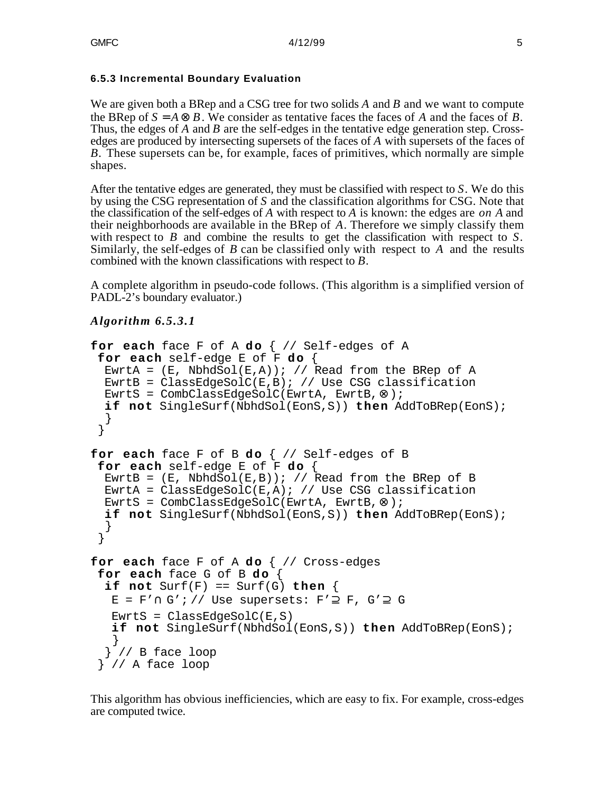## **6.5.3 Incremental Boundary Evaluation**

We are given both a BRep and a CSG tree for two solids *A* and *B* and we want to compute the BRep of  $S = A$  *B*. We consider as tentative faces the faces of *A* and the faces of *B*. Thus, the edges of *A* and *B* are the self-edges in the tentative edge generation step. Crossedges are produced by intersecting supersets of the faces of *A* with supersets of the faces of *B.* These supersets can be, for example, faces of primitives, which normally are simple shapes.

After the tentative edges are generated, they must be classified with respect to *S*. We do this by using the CSG representation of *S* and the classification algorithms for CSG. Note that the classification of the self-edges of *A* with respect to *A* is known: the edges are *on A* and their neighborhoods are available in the BRep of *A*. Therefore we simply classify them with respect to *B* and combine the results to get the classification with respect to *S*. Similarly, the self-edges of *B* can be classified only with respect to *A* and the results combined with the known classifications with respect to *B*.

A complete algorithm in pseudo-code follows. (This algorithm is a simplified version of PADL-2's boundary evaluator.)

# *Algorithm 6.5.3.1*

```
for each face F of A do \frac{1}{2} Self-edges of A
 for each self-edge E of F do {
  EwrtA = (E, NbhdSol(E, A)); // Read from the BRep of A
  EwrtB = ClassEdgeSolC(E,B); // Use CSG classification
   EwrtS = CombClassEdgeSolC(EwrtA, EwrtB, );
   if not SingleSurf(NbhdSol(EonS,S)) then AddToBRep(EonS);
   }
  }
for each face F of B do \frac{\pi}{3} // Self-edges of B
 for each self-edge E of F do \{EwrtB = (E, NbhdSol(E, B)); // Read from the BRep of B
  EwrtA = ClassEdgeSolC(E,A); // Use CSG classification
   EwrtS = CombClassEdgeSolC(EwrtA, EwrtB, );
   if not SingleSurf(NbhdSol(EonS,S)) then AddToBRep(EonS);
   }
  }
for each face F of A do \frac{1}{2} Cross-edges
 for each face G of B do {
   if not Surf(F) == Surf(G) then {
   E = F' G'; // Use supersets: F' F, G' G
   EwrLS = ClassEdgeSolC(E, S) if not SingleSurf(NbhdSol(EonS,S)) then AddToBRep(EonS);
    }
   } // B face loop
  } // A face loop
```
This algorithm has obvious inefficiencies, which are easy to fix. For example, cross-edges are computed twice.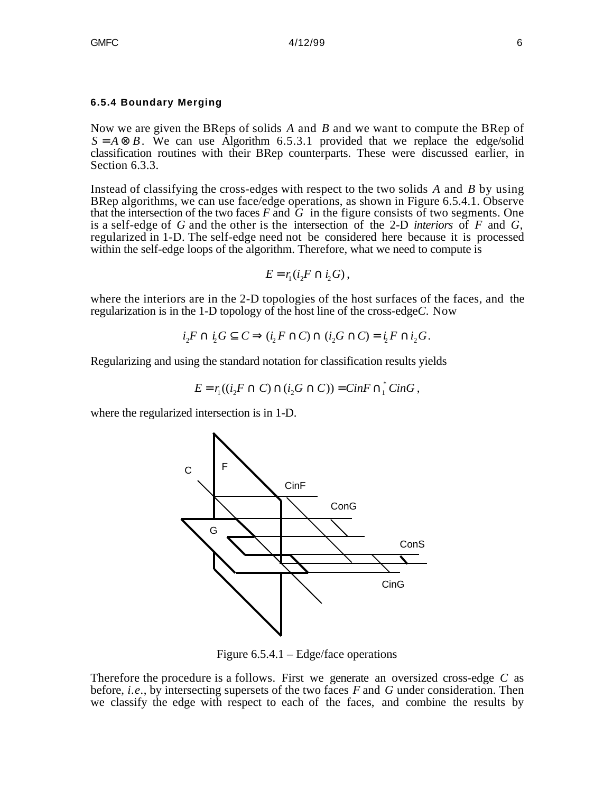#### **6.5.4 Boundary Merging**

Now we are given the BReps of solids *A* and *B* and we want to compute the BRep of  $S = A$  *B*. We can use Algorithm 6.5.3.1 provided that we replace the edge/solid classification routines with their BRep counterparts. These were discussed earlier, in Section 6.3.3.

Instead of classifying the cross-edges with respect to the two solids *A* and *B* by using BRep algorithms, we can use face/edge operations, as shown in Figure 6.5.4.1. Observe that the intersection of the two faces  $F$  and  $\tilde{G}$  in the figure consists of two segments. One is a self-edge of *G* and the other is the intersection of the 2-D *interiors* of *F* and *G*, regularized in 1-D. The self-edge need not be considered here because it is processed within the self-edge loops of the algorithm. Therefore, what we need to compute is

$$
E=r_1(i_2F-i_2G),
$$

where the interiors are in the 2-D topologies of the host surfaces of the faces, and the regularization is in the 1-D topology of the host line of the cross-edge*C*. Now

$$
i_2F
$$
  $i_2G$   $C$   $(i_2F$   $C)$   $(i_2G$   $C) = i_2F$   $i_2G$ .

Regularizing and using the standard notation for classification results yields

$$
E = r_1((i_2F \quad C) \quad (i_2G \quad C)) = CinF^{-1}CinG,
$$

where the regularized intersection is in 1-D.



Figure 6.5.4.1 – Edge/face operations

Therefore the procedure is a follows. First we generate an oversized cross-edge *C* as before, *i.e.*, by intersecting supersets of the two faces *F* and *G* under consideration. Then we classify the edge with respect to each of the faces, and combine the results by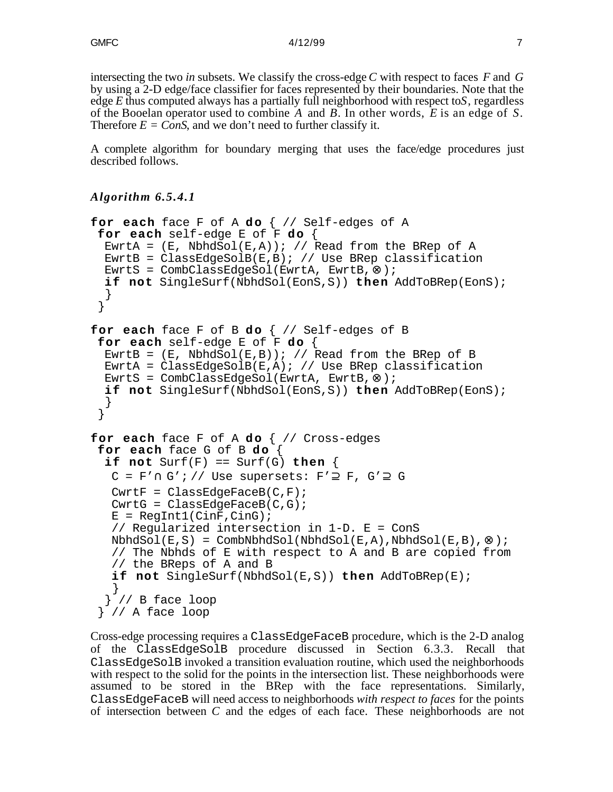intersecting the two *in* subsets. We classify the cross-edge *C* with respect to faces *F* and *G* by using a 2-D edge/face classifier for faces represented by their boundaries. Note that the edge *E* thus computed always has a partially full neighborhood with respect to*S*, regardless of the Booelan operator used to combine *A* and *B*. In other words, *E* is an edge of *S*. Therefore  $E = ConS$ , and we don't need to further classify it.

A complete algorithm for boundary merging that uses the face/edge procedures just described follows.

```
Algorithm 6.5.4.1
```

```
for each face F of A do { // Self-edges of A
 for each self-edge E of F do {
  EwrtA = (E, NbhdSol(E, A)); // Read from the BRep of A
  EwrtB = ClassEdgeSolB(E,B); // Use BRep classification
   EwrtS = CombClassEdgeSol(EwrtA, EwrtB, );
   if not SingleSurf(NbhdSol(EonS,S)) then AddToBRep(EonS);
   }
  }
for each face F of B do \frac{1}{2} Self-edges of B
 for each self-edge E of F do {
  EwrtB = (E, NbhdSol(E, B)); // Read from the BRep of B
  EwrtA = ClassEdgeSolB(E,A); // Use BRep classification
   EwrtS = CombClassEdgeSol(EwrtA, EwrtB, );
   if not SingleSurf(NbhdSol(EonS,S)) then AddToBRep(EonS);
   }
  }
for each face F of A do { // Cross-edges
 for each face G of B do {
  if not Surf(F) == Surf(G) then {
   C = F' G'; // Use supersets: F' F, G' G
   CwrtF = ClassEdgeFaceB(C,F);CwrtG = ClassEdgeFaceB(C,G);E = RegInt1(CinF,CinG); // Regularized intersection in 1-D. E = ConS
   NbhdSol(E, S) = CombhbhdSol(NbhdSol(E, A), NbhdSol(E, B), );
    // The Nbhds of E with respect to A and B are copied from
    // the BReps of A and B
    if not SingleSurf(NbhdSol(E,S)) then AddToBRep(E);
    }
  }^{\prime} // B face loop
  } // A face loop
```
Cross-edge processing requires a ClassEdgeFaceB procedure, which is the 2-D analog of the ClassEdgeSolB procedure discussed in Section 6.3.3. Recall that ClassEdgeSolB invoked a transition evaluation routine, which used the neighborhoods with respect to the solid for the points in the intersection list. These neighborhoods were assumed to be stored in the BRep with the face representations. Similarly, ClassEdgeFaceB will need access to neighborhoods *with respect to faces* for the points of intersection between *C* and the edges of each face. These neighborhoods are not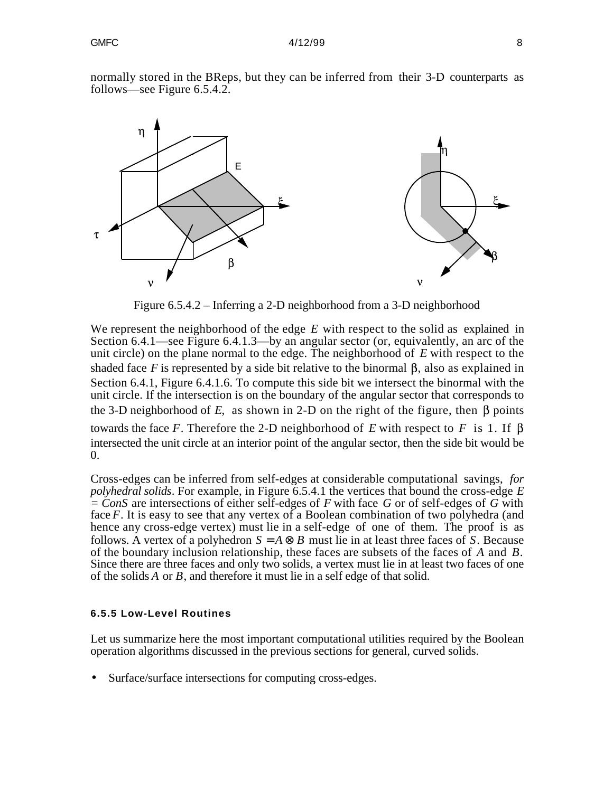

normally stored in the BReps, but they can be inferred from their 3-D counterparts as follows—see Figure 6.5.4.2.

Figure 6.5.4.2 – Inferring a 2-D neighborhood from a 3-D neighborhood

We represent the neighborhood of the edge *E* with respect to the solid as explained in Section 6.4.1—see Figure 6.4.1.3—by an angular sector (or, equivalently, an arc of the unit circle) on the plane normal to the edge. The neighborhood of *E* with respect to the shaded face *F* is represented by a side bit relative to the binormal  $\beta$ , also as explained in Section 6.4.1, Figure 6.4.1.6. To compute this side bit we intersect the binormal with the unit circle. If the intersection is on the boundary of the angular sector that corresponds to the 3-D neighborhood of  $E$ , as shown in 2-D on the right of the figure, then  $\beta$  points towards the face F. Therefore the 2-D neighborhood of E with respect to F is 1. If  $\beta$ intersected the unit circle at an interior point of the angular sector, then the side bit would be 0.

Cross-edges can be inferred from self-edges at considerable computational savings, *for polyhedral solids*. For example, in Figure 6.5.4.1 the vertices that bound the cross-edge *E = ConS* are intersections of either self-edges of *F* with face *G* or of self-edges of *G* with face *F*. It is easy to see that any vertex of a Boolean combination of two polyhedra (and hence any cross-edge vertex) must lie in a self-edge of one of them. The proof is as follows. A vertex of a polyhedron  $S = A$  *B* must lie in at least three faces of *S*. Because of the boundary inclusion relationship, these faces are subsets of the faces of *A* and *B*. Since there are three faces and only two solids, a vertex must lie in at least two faces of one of the solids *A* or *B*, and therefore it must lie in a self edge of that solid.

### **6.5.5 Low-Level Routines**

Let us summarize here the most important computational utilities required by the Boolean operation algorithms discussed in the previous sections for general, curved solids.

• Surface/surface intersections for computing cross-edges.